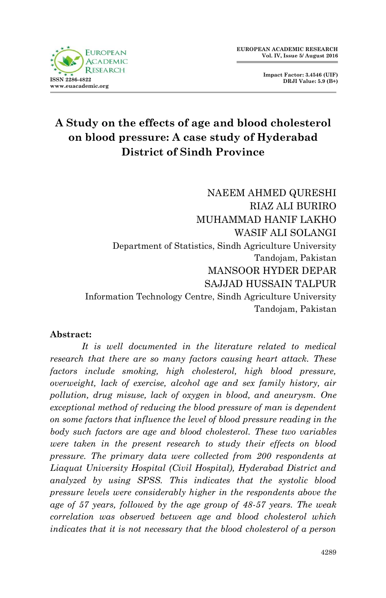

**Impact Factor: 3.4546 (UIF) DRJI Value: 5.9 (B+)**

# **A Study on the effects of age and blood cholesterol on blood pressure: A case study of Hyderabad District of Sindh Province**

NAEEM AHMED QURESHI RIAZ ALI BURIRO MUHAMMAD HANIF LAKHO WASIF ALI SOLANGI Department of Statistics, Sindh Agriculture University Tandojam, Pakistan MANSOOR HYDER DEPAR SAJJAD HUSSAIN TALPUR Information Technology Centre, Sindh Agriculture University Tandojam, Pakistan

#### **Abstract:**

*It is well documented in the literature related to medical research that there are so many factors causing heart attack. These factors include smoking, high cholesterol, high blood pressure, overweight, lack of exercise, alcohol age and sex family history, air pollution, drug misuse, lack of oxygen in blood, and aneurysm. One exceptional method of reducing the blood pressure of man is dependent on some factors that influence the level of blood pressure reading in the body such factors are age and blood cholesterol. These two variables were taken in the present research to study their effects on blood pressure. The primary data were collected from 200 respondents at Liaquat University Hospital (Civil Hospital), Hyderabad District and analyzed by using SPSS. This indicates that the systolic blood pressure levels were considerably higher in the respondents above the age of 57 years, followed by the age group of 48-57 years. The weak correlation was observed between age and blood cholesterol which indicates that it is not necessary that the blood cholesterol of a person*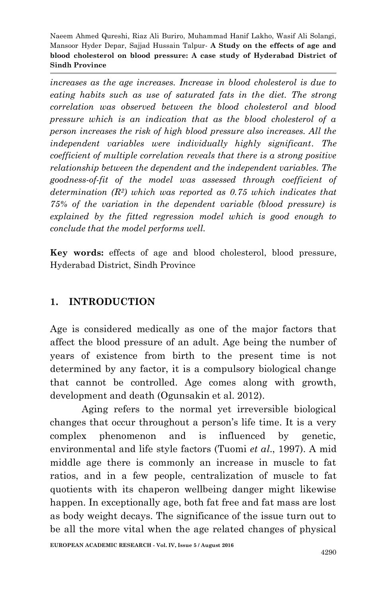*increases as the age increases. Increase in blood cholesterol is due to eating habits such as use of saturated fats in the diet. The strong correlation was observed between the blood cholesterol and blood pressure which is an indication that as the blood cholesterol of a person increases the risk of high blood pressure also increases. All the independent variables were individually highly significant. The coefficient of multiple correlation reveals that there is a strong positive relationship between the dependent and the independent variables. The goodness-of-fit of the model was assessed through coefficient of determination (R2) which was reported as 0.75 which indicates that 75% of the variation in the dependent variable (blood pressure) is explained by the fitted regression model which is good enough to conclude that the model performs well.*

**Key words:** effects of age and blood cholesterol, blood pressure, Hyderabad District, Sindh Province

## **1. INTRODUCTION**

Age is considered medically as one of the major factors that affect the blood pressure of an adult. Age being the number of years of existence from birth to the present time is not determined by any factor, it is a compulsory biological change that cannot be controlled. Age comes along with growth, development and death (Ogunsakin et al. 2012).

Aging refers to the normal yet irreversible biological changes that occur throughout a person's life time. It is a very complex phenomenon and is influenced by genetic, environmental and life style factors (Tuomi *et al*., 1997). A mid middle age there is commonly an increase in muscle to fat ratios, and in a few people, centralization of muscle to fat quotients with its chaperon wellbeing danger might likewise happen. In exceptionally age, both fat free and fat mass are lost as body weight decays. The significance of the issue turn out to be all the more vital when the age related changes of physical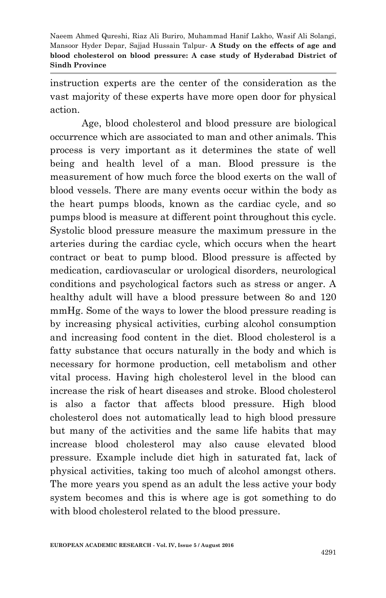instruction experts are the center of the consideration as the vast majority of these experts have more open door for physical action.

Age, blood cholesterol and blood pressure are biological occurrence which are associated to man and other animals. This process is very important as it determines the state of well being and health level of a man. Blood pressure is the measurement of how much force the blood exerts on the wall of blood vessels. There are many events occur within the body as the heart pumps bloods, known as the cardiac cycle, and so pumps blood is measure at different point throughout this cycle. Systolic blood pressure measure the maximum pressure in the arteries during the cardiac cycle, which occurs when the heart contract or beat to pump blood. Blood pressure is affected by medication, cardiovascular or urological disorders, neurological conditions and psychological factors such as stress or anger. A healthy adult will have a blood pressure between 8o and 120 mmHg. Some of the ways to lower the blood pressure reading is by increasing physical activities, curbing alcohol consumption and increasing food content in the diet. Blood cholesterol is a fatty substance that occurs naturally in the body and which is necessary for hormone production, cell metabolism and other vital process. Having high cholesterol level in the blood can increase the risk of heart diseases and stroke. Blood cholesterol is also a factor that affects blood pressure. High blood cholesterol does not automatically lead to high blood pressure but many of the activities and the same life habits that may increase blood cholesterol may also cause elevated blood pressure. Example include diet high in saturated fat, lack of physical activities, taking too much of alcohol amongst others. The more years you spend as an adult the less active your body system becomes and this is where age is got something to do with blood cholesterol related to the blood pressure.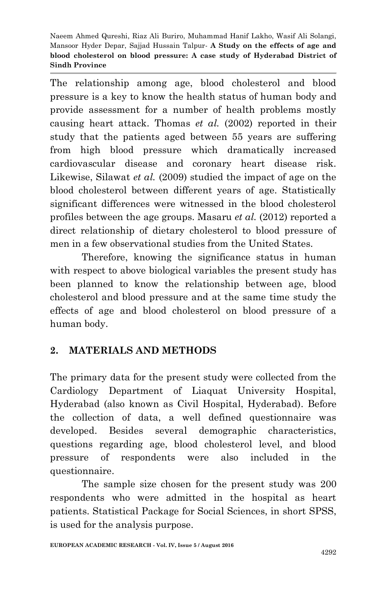The relationship among age, blood cholesterol and blood pressure is a key to know the health status of human body and provide assessment for a number of health problems mostly causing heart attack. Thomas *et al.* (2002) reported in their study that the patients aged between 55 years are suffering from high blood pressure which dramatically increased cardiovascular disease and coronary heart disease risk. Likewise, Silawat *et al.* (2009) studied the impact of age on the blood cholesterol between different years of age. Statistically significant differences were witnessed in the blood cholesterol profiles between the age groups. Masaru *et al.* (2012) reported a direct relationship of dietary cholesterol to blood pressure of men in a few observational studies from the United States.

Therefore, knowing the significance status in human with respect to above biological variables the present study has been planned to know the relationship between age, blood cholesterol and blood pressure and at the same time study the effects of age and blood cholesterol on blood pressure of a human body.

## **2. MATERIALS AND METHODS**

The primary data for the present study were collected from the Cardiology Department of Liaquat University Hospital, Hyderabad (also known as Civil Hospital, Hyderabad). Before the collection of data, a well defined questionnaire was developed. Besides several demographic characteristics, questions regarding age, blood cholesterol level, and blood pressure of respondents were also included in the questionnaire.

The sample size chosen for the present study was 200 respondents who were admitted in the hospital as heart patients. Statistical Package for Social Sciences, in short SPSS, is used for the analysis purpose.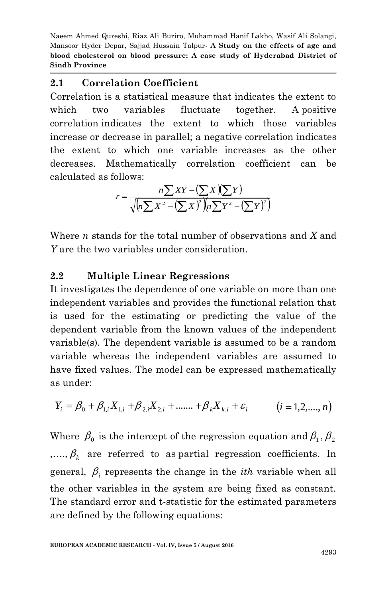## **2.1 Correlation Coefficient**

Correlation is a statistical measure that indicates the extent to which two variables fluctuate together. A positive correlation indicates the extent to which those variables increase or decrease in parallel; a negative correlation indicates the extent to which one variable increases as the other decreases. Mathematically correlation coefficient can be calculated as follows:

$$
r = \frac{n\sum XY - (\sum X)(\sum Y)}{\sqrt{(n\sum X^2 - (\sum X)^2)(n\sum Y^2 - (\sum Y)^2)}}
$$

Where *n* stands for the total number of observations and *X* and *Y* are the two variables under consideration.

## **2.2 Multiple Linear Regressions**

It investigates the dependence of one variable on more than one independent variables and provides the functional relation that is used for the estimating or predicting the value of the dependent variable from the known values of the independent variable(s). The dependent variable is assumed to be a random variable whereas the independent variables are assumed to have fixed values. The model can be expressed mathematically as under:

$$
Y_i = \beta_0 + \beta_{1,i} X_{1,i} + \beta_{2,i} X_{2,i} + \dots + \beta_k X_{k,i} + \varepsilon_i \qquad (i = 1, 2, \dots, n)
$$

Where  $\,\beta_{_{\rm 0}}\,$  is the intercept of the regression equation and  $\beta_{_{\rm 1}},\beta_{_{\rm 2}}$  $,...,  $\beta_k$  are referred to as partial regression coefficients. In$ general,  $\beta$ <sub>i</sub> represents the change in the *ith* variable when all the other variables in the system are being fixed as constant. The standard error and t-statistic for the estimated parameters are defined by the following equations: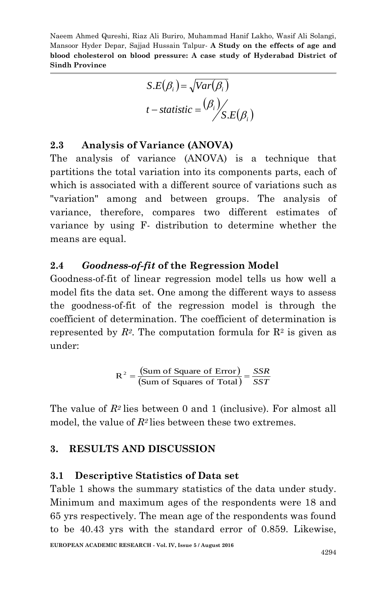$$
S.E(\beta_i) = \sqrt{Var(\beta_i)}
$$
  

$$
t - statistic = \frac{(\beta_i)}{S.E(\beta_i)}
$$

## **2.3 Analysis of Variance (ANOVA)**

 $S.E(\beta_i) = \sqrt{Var(\beta_i)}$ <br>  $t - statistic = \frac{(\beta_i)}{S.E(\beta_i)}$ <br> **ariance (ANOVA)**<br> **ariance (ANOVA)** is a technique that<br>
ariation into its components parts, each of<br>
tin a different source of variations such as<br>
and between groups. The analysi The analysis of variance (ANOVA) is a technique that partitions the total variation into its components parts, each of which is associated with a different source of variations such as "variation" among and between groups. The analysis of variance, therefore, compares two different estimates of variance by using F- distribution to determine whether the means are equal.

#### **2.4** *Goodness-of-fit* **of the Regression Model**

Goodness-of-fit of linear regression model tells us how well a model fits the data set. One among the different ways to assess the goodness-of-fit of the regression model is through the coefficient of determination. The coefficient of determination is represented by  $R^2$ . The computation formula for  $R^2$  is given as under:

$$
R^{2} = \frac{\text{(Sum of Square of Error)}}{\text{(Sum of Squares of Total)}} = \frac{SSR}{SST}
$$

The value of *R<sup>2</sup>* lies between 0 and 1 (inclusive). For almost all model, the value of  $R^2$  lies between these two extremes.

#### **3. RESULTS AND DISCUSSION**

#### **3.1 Descriptive Statistics of Data set**

Table 1 shows the summary statistics of the data under study. Minimum and maximum ages of the respondents were 18 and 65 yrs respectively. The mean age of the respondents was found to be 40.43 yrs with the standard error of 0.859. Likewise,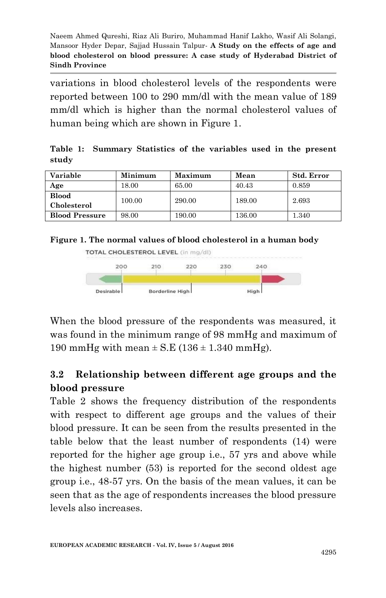variations in blood cholesterol levels of the respondents were reported between 100 to 290 mm/dl with the mean value of 189 mm/dl which is higher than the normal cholesterol values of human being which are shown in Figure 1.

**Table 1: Summary Statistics of the variables used in the present study**

| Variable              | Minimum   | Maximum | Mean   | Std. Error |
|-----------------------|-----------|---------|--------|------------|
| Age                   | $18.00\,$ | 65.00   | 40.43  | 0.859      |
| <b>Blood</b>          | 100.00    | 290.00  | 189.00 | 2.693      |
| Cholesterol           |           |         |        |            |
| <b>Blood Pressure</b> | 98.00     | 190.00  | 136.00 | $1.340\,$  |

**Figure 1. The normal values of blood cholesterol in a human body** 



When the blood pressure of the respondents was measured, it was found in the minimum range of 98 mmHg and maximum of 190 mmHg with mean  $\pm$  S.E (136  $\pm$  1.340 mmHg).

## **3.2 Relationship between different age groups and the blood pressure**

Table 2 shows the frequency distribution of the respondents with respect to different age groups and the values of their blood pressure. It can be seen from the results presented in the table below that the least number of respondents (14) were reported for the higher age group i.e., 57 yrs and above while the highest number (53) is reported for the second oldest age group i.e., 48-57 yrs. On the basis of the mean values, it can be seen that as the age of respondents increases the blood pressure levels also increases.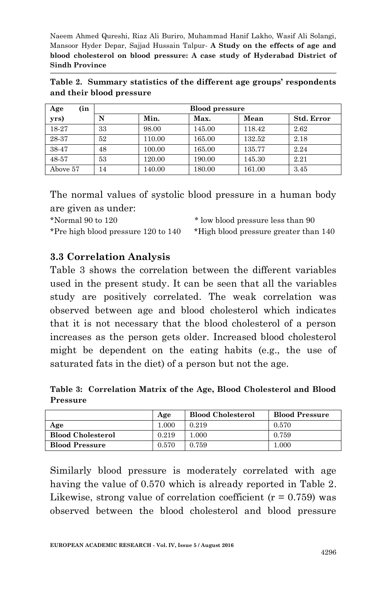|                          |  |  | Table 2. Summary statistics of the different age groups' respondents |
|--------------------------|--|--|----------------------------------------------------------------------|
| and their blood pressure |  |  |                                                                      |

| (in<br>Age | <b>Blood pressure</b> |        |        |        |                   |
|------------|-----------------------|--------|--------|--------|-------------------|
| yrs)       | N                     | Min.   | Max.   | Mean   | <b>Std. Error</b> |
| 18-27      | 33                    | 98.00  | 145.00 | 118.42 | 2.62              |
| 28-37      | 52                    | 110.00 | 165.00 | 132.52 | 2.18              |
| 38-47      | 48                    | 100.00 | 165.00 | 135.77 | 2.24              |
| 48-57      | 53                    | 120.00 | 190.00 | 145.30 | 2.21              |
| Above 57   | 14                    | 140.00 | 180.00 | 161.00 | 3.45              |

The normal values of systolic blood pressure in a human body are given as under:

\*Normal 90 to 120 \* low blood pressure less than 90 \*Pre high blood pressure 120 to 140 \*High blood pressure greater than 140

### **3.3 Correlation Analysis**

Table 3 shows the correlation between the different variables used in the present study. It can be seen that all the variables study are positively correlated. The weak correlation was observed between age and blood cholesterol which indicates that it is not necessary that the blood cholesterol of a person increases as the person gets older. Increased blood cholesterol might be dependent on the eating habits (e.g., the use of saturated fats in the diet) of a person but not the age.

**Table 3: Correlation Matrix of the Age, Blood Cholesterol and Blood Pressure**

|                          | Age       | <b>Blood Cholesterol</b> | <b>Blood Pressure</b> |
|--------------------------|-----------|--------------------------|-----------------------|
| Age                      | $1.000\,$ | 0.219                    | 0.570                 |
| <b>Blood Cholesterol</b> | 0.219     | 000.                     | 0.759                 |
| <b>Blood Pressure</b>    | 0.570     | 0.759                    | $1.000\,$             |

Similarly blood pressure is moderately correlated with age having the value of 0.570 which is already reported in Table 2. Likewise, strong value of correlation coefficient  $(r = 0.759)$  was observed between the blood cholesterol and blood pressure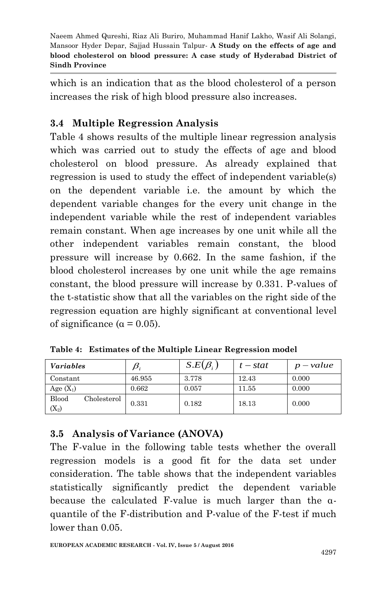which is an indication that as the blood cholesterol of a person increases the risk of high blood pressure also increases.

## **3.4 Multiple Regression Analysis**

Table 4 shows results of the multiple linear regression analysis which was carried out to study the effects of age and blood cholesterol on blood pressure. As already explained that regression is used to study the effect of independent variable(s) on the dependent variable i.e. the amount by which the dependent variable changes for the every unit change in the independent variable while the rest of independent variables remain constant. When age increases by one unit while all the other independent variables remain constant, the blood pressure will increase by 0.662. In the same fashion, if the blood cholesterol increases by one unit while the age remains constant, the blood pressure will increase by 0.331. P-values of the t-statistic show that all the variables on the right side of the regression equation are highly significant at conventional level of significance ( $\alpha$  = 0.05).

| <i>Variables</i>                | $\bm{\beta}_i$ | $S.E(\beta_i)$ | $t - stat$ | $p-value$ |
|---------------------------------|----------------|----------------|------------|-----------|
| Constant                        | 46.955         | 3.778          | 12.43      | 0.000     |
| Age $(X_1)$                     | 0.662          | 0.057          | 11.55      | 0.000     |
| Blood<br>Cholesterol<br>$(X_2)$ | 0.331          | 0.182          | 18.13      | 0.000     |

**Table 4: Estimates of the Multiple Linear Regression model** 

# **3.5 Analysis of Variance (ANOVA)**

The F-value in the following table tests whether the overall regression models is a good fit for the data set under consideration. The table shows that the independent variables statistically significantly predict the dependent variable because the calculated F-value is much larger than the αquantile of the F-distribution and P-value of the F-test if much lower than 0.05.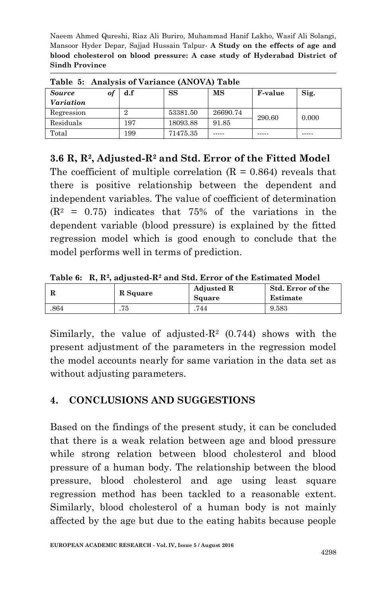| Table 5: Analysis of Variance (ANOVA) Table |     |          |          |                |       |  |
|---------------------------------------------|-----|----------|----------|----------------|-------|--|
| <b>Source</b><br>οl                         | d.f | SS       | MS       | <b>F-value</b> | Sig.  |  |
| Variation                                   |     |          |          |                |       |  |
| Regression                                  |     | 53381.50 | 26690.74 | 290.60         | 0.000 |  |
| Residuals                                   | 197 | 18093.88 | 91.85    |                |       |  |
| Total                                       | 199 | 71475.35 |          |                |       |  |

**Table 5: Analysis of Variance (ANOVA) Table** 

**3.6 R, R2, Adjusted-R<sup>2</sup> and Std. Error of the Fitted Model**

The coefficient of multiple correlation  $(R = 0.864)$  reveals that there is positive relationship between the dependent and independent variables. The value of coefficient of determination  $(R<sup>2</sup> = 0.75)$  indicates that 75% of the variations in the dependent variable (blood pressure) is explained by the fitted regression model which is good enough to conclude that the model performs well in terms of prediction.

**Table 6: R, R<sup>2</sup> , adjusted-R<sup>2</sup> and Std. Error of the Estimated Model** 

|      | R Square | <b>Adjusted R</b><br>Square | Std. Error of the<br>Estimate |
|------|----------|-----------------------------|-------------------------------|
| .864 | 75       | 744                         | 9.583                         |

Similarly, the value of adjusted- $R^2$  (0.744) shows with the present adjustment of the parameters in the regression model the model accounts nearly for same variation in the data set as without adjusting parameters.

## **4. CONCLUSIONS AND SUGGESTIONS**

Based on the findings of the present study, it can be concluded that there is a weak relation between age and blood pressure while strong relation between blood cholesterol and blood pressure of a human body. The relationship between the blood pressure, blood cholesterol and age using least square regression method has been tackled to a reasonable extent. Similarly, blood cholesterol of a human body is not mainly affected by the age but due to the eating habits because people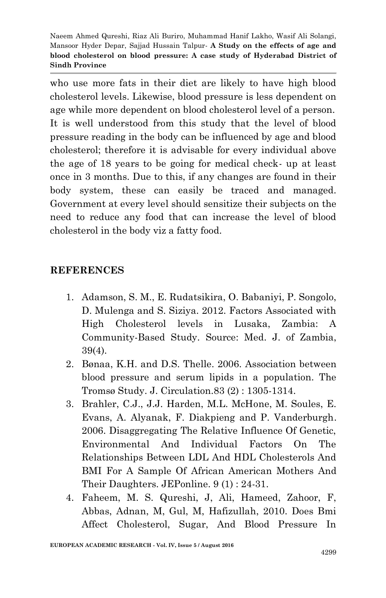who use more fats in their diet are likely to have high blood cholesterol levels. Likewise, blood pressure is less dependent on age while more dependent on blood cholesterol level of a person. It is well understood from this study that the level of blood pressure reading in the body can be influenced by age and blood cholesterol; therefore it is advisable for every individual above the age of 18 years to be going for medical check- up at least once in 3 months. Due to this, if any changes are found in their body system, these can easily be traced and managed. Government at every level should sensitize their subjects on the need to reduce any food that can increase the level of blood cholesterol in the body viz a fatty food.

## **REFERENCES**

- 1. Adamson, S. M., E. Rudatsikira, O. Babaniyi, P. Songolo, D. Mulenga and S. Siziya. 2012. Factors Associated with High Cholesterol levels in Lusaka, Zambia: A Community-Based Study. Source: Med. J. of Zambia, 39(4).
- 2. Bønaa, K.H. and D.S. Thelle. 2006. Association between blood pressure and serum lipids in a population. The Tromsø Study. J. Circulation.83 (2) : 1305-1314.
- 3. Brahler, C.J., J.J. Harden, M.L. McHone, M. Soules, E. Evans, A. Alyanak, F. Diakpieng and P. Vanderburgh. 2006. Disaggregating The Relative Influence Of Genetic, Environmental And Individual Factors On The Relationships Between LDL And HDL Cholesterols And BMI For A Sample Of African American Mothers And Their Daughters. JEPonline. 9 (1) : 24-31.
- 4. Faheem, M. S. Qureshi, J, Ali, Hameed, Zahoor, F, Abbas, Adnan, M, Gul, M, Hafizullah, 2010. Does Bmi Affect Cholesterol, Sugar, And Blood Pressure In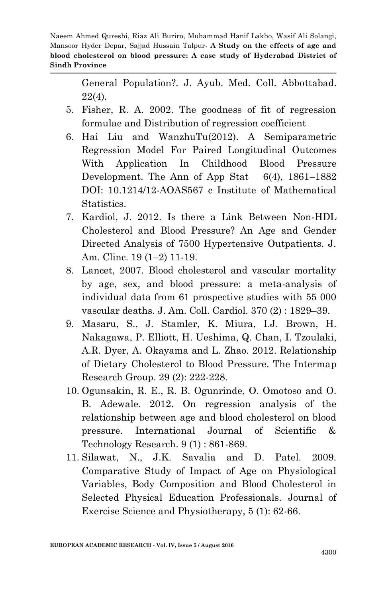> General Population?. J. Ayub. Med. Coll. Abbottabad. 22(4).

- 5. Fisher, R. A. 2002. The goodness of fit of regression formulae and Distribution of regression coefficient
- 6. Hai Liu and WanzhuTu(2012). A Semiparametric Regression Model For Paired Longitudinal Outcomes With Application In Childhood Blood Pressure Development. The Ann of App Stat 6(4), 1861–1882 DOI: 10.1214/12-AOAS567 c Institute of Mathematical Statistics.
- 7. Kardiol, J. 2012. Is there a Link Between Non-HDL Cholesterol and Blood Pressure? An Age and Gender Directed Analysis of 7500 Hypertensive Outpatients. J. Am. Clinc. 19 (1–2) 11-19.
- 8. Lancet, 2007. Blood cholesterol and vascular mortality by age, sex, and blood pressure: a meta-analysis of individual data from 61 prospective studies with 55 000 vascular deaths. J. Am. Coll. Cardiol. 370 (2) : 1829–39.
- 9. [Masaru, S.,](http://www.ncbi.nlm.nih.gov/pubmed/?term=Sakurai%20M%5Bauth%5D) [J. Stamler,](http://www.ncbi.nlm.nih.gov/pubmed/?term=Stamler%20J%5Bauth%5D) [K. Miura,](http://www.ncbi.nlm.nih.gov/pubmed/?term=Miura%20K%5Bauth%5D) [I.J. Brown,](http://www.ncbi.nlm.nih.gov/pubmed/?term=Brown%20IJ%5Bauth%5D) [H.](http://www.ncbi.nlm.nih.gov/pubmed/?term=Nakagawa%20H%5Bauth%5D)  [Nakagawa,](http://www.ncbi.nlm.nih.gov/pubmed/?term=Nakagawa%20H%5Bauth%5D) [P. Elliott,](http://www.ncbi.nlm.nih.gov/pubmed/?term=Elliott%20P%5Bauth%5D) [H. Ueshima,](http://www.ncbi.nlm.nih.gov/pubmed/?term=Ueshima%20H%5Bauth%5D) [Q. Chan,](http://www.ncbi.nlm.nih.gov/pubmed/?term=Chan%20Q%5Bauth%5D) [I. Tzoulaki,](http://www.ncbi.nlm.nih.gov/pubmed/?term=Tzoulaki%20I%5Bauth%5D) [A.R. Dyer,](http://www.ncbi.nlm.nih.gov/pubmed/?term=Dyer%20AR%5Bauth%5D) [A. Okayama](http://www.ncbi.nlm.nih.gov/pubmed/?term=Okayama%20A%5Bauth%5D) and L. [Zhao.](http://www.ncbi.nlm.nih.gov/pubmed/?term=Zhao%20L%5Bauth%5D) 2012. Relationship of Dietary Cholesterol to Blood Pressure. The Intermap Research Group. 29 (2): 222-228.
- 10. Ogunsakin, R. E., R. B. Ogunrinde, O. Omotoso and O. B. Adewale. 2012. On regression analysis of the relationship between age and blood cholesterol on blood pressure. International Journal of Scientific & Technology Research. 9 (1) : 861-869.
- 11. Silawat, N., J.K. Savalia and D. Patel. 2009. Comparative Study of Impact of Age on Physiological Variables, Body Composition and Blood Cholesterol in Selected Physical Education Professionals. Journal of Exercise Science and Physiotherapy, 5 (1): 62-66.